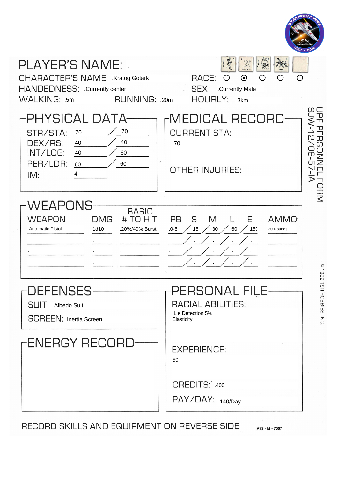

RECORD SKILLS AND EQUIPMENT ON REVERSE SIDE

A93 - M - 7007